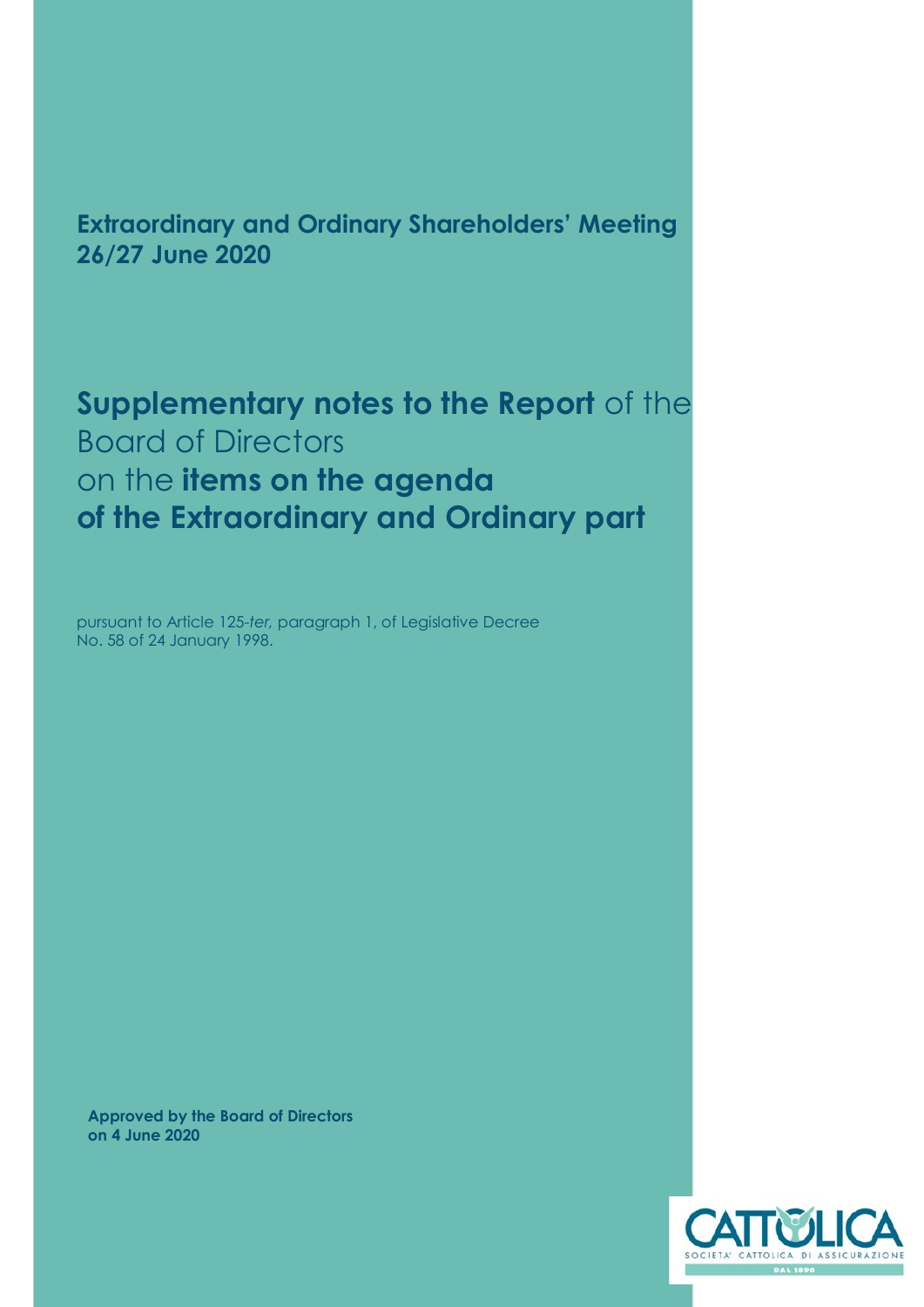# **Extraordinary and Ordinary Shareholders' Meeting 26/27 June 2020**

**Supplementary notes to the Report** of the Board of Directors on the **items on the agenda of the Extraordinary and Ordinary part**

pursuant to Article 125-*ter,* paragraph 1, of Legislative Decree No. 58 of 24 January 1998.

**Approved by the Board of Directors on 4 June 2020**

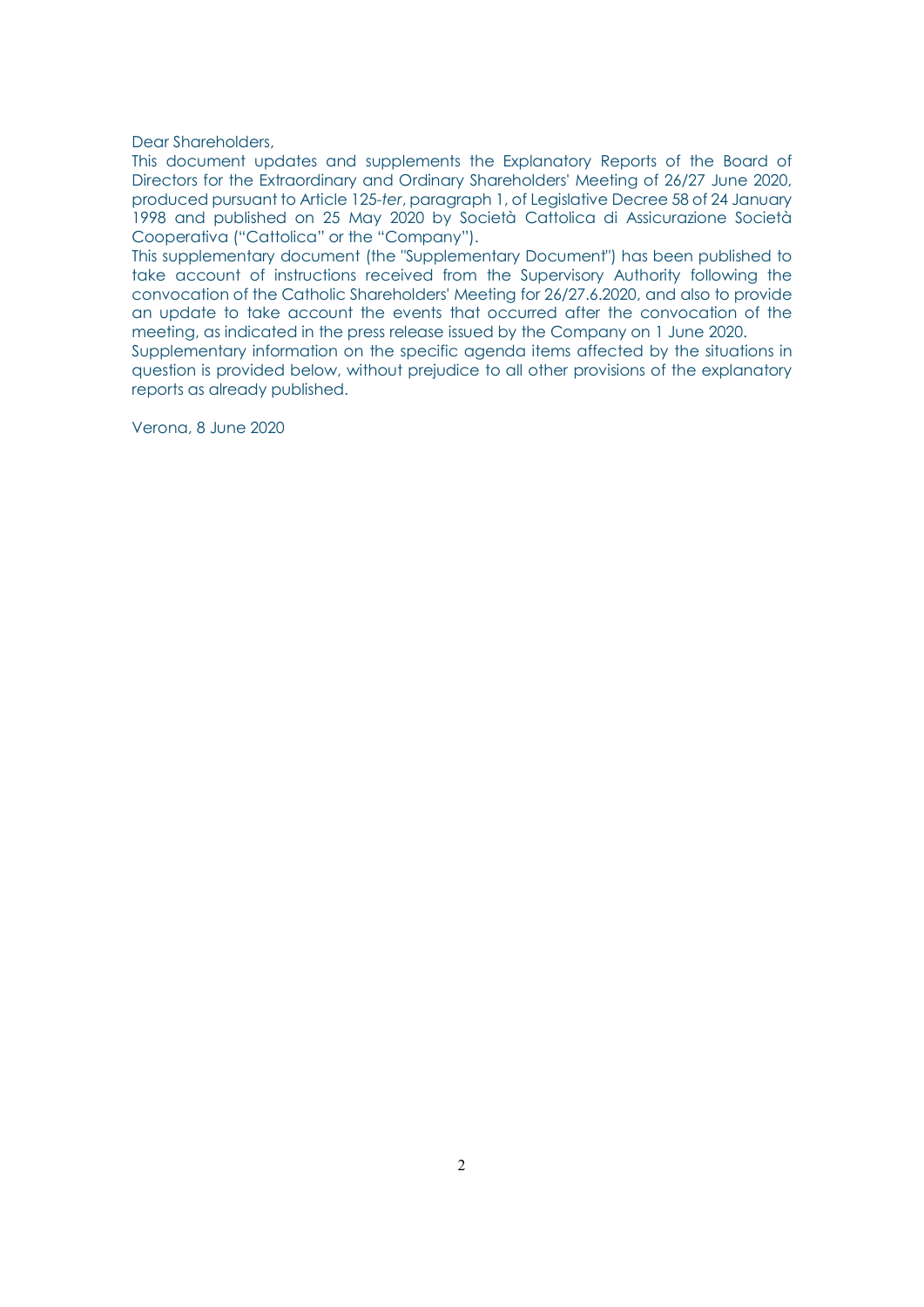Dear Shareholders,

This document updates and supplements the Explanatory Reports of the Board of Directors for the Extraordinary and Ordinary Shareholders' Meeting of 26/27 June 2020, produced pursuant to Article 125-*ter*, paragraph 1, of Legislative Decree 58 of 24 January 1998 and published on 25 May 2020 by Società Cattolica di Assicurazione Società Cooperativa ("Cattolica" or the "Company").

This supplementary document (the "Supplementary Document") has been published to take account of instructions received from the Supervisory Authority following the convocation of the Catholic Shareholders' Meeting for 26/27.6.2020, and also to provide an update to take account the events that occurred after the convocation of the meeting, as indicated in the press release issued by the Company on 1 June 2020.

Supplementary information on the specific agenda items affected by the situations in question is provided below, without prejudice to all other provisions of the explanatory reports as already published.

Verona, 8 June 2020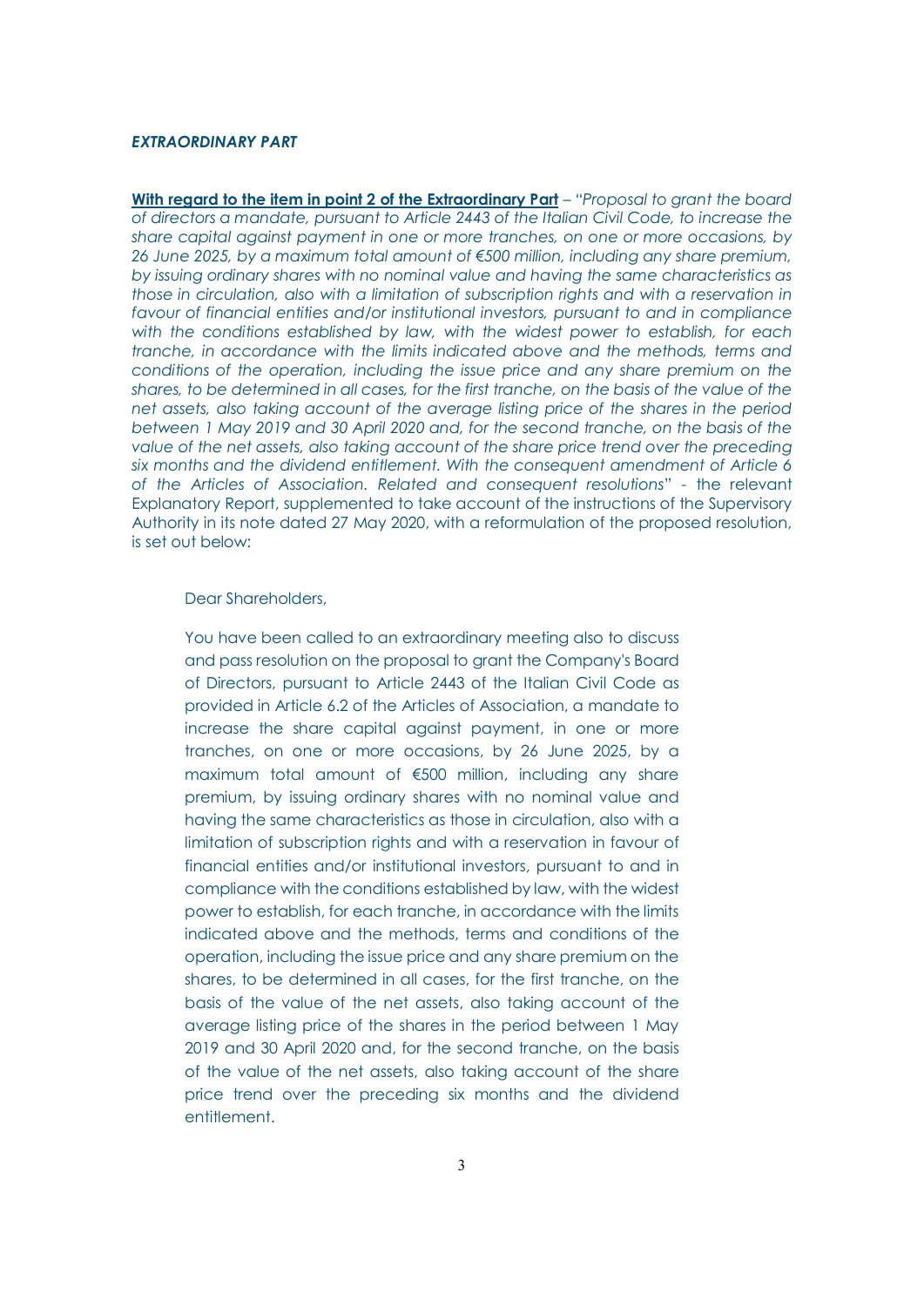## *EXTRAORDINARY PART*

**With regard to the item in point 2 of the Extraordinary Part** – "*Proposal to grant the board of directors a mandate, pursuant to Article 2443 of the Italian Civil Code, to increase the share capital against payment in one or more tranches, on one or more occasions, by 26 June 2025, by a maximum total amount of €500 million, including any share premium, by issuing ordinary shares with no nominal value and having the same characteristics as those in circulation, also with a limitation of subscription rights and with a reservation in favour of financial entities and/or institutional investors, pursuant to and in compliance with the conditions established by law, with the widest power to establish, for each tranche, in accordance with the limits indicated above and the methods, terms and conditions of the operation, including the issue price and any share premium on the shares, to be determined in all cases, for the first tranche, on the basis of the value of the net assets, also taking account of the average listing price of the shares in the period between 1 May 2019 and 30 April 2020 and, for the second tranche, on the basis of the value of the net assets, also taking account of the share price trend over the preceding six months and the dividend entitlement. With the consequent amendment of Article 6 of the Articles of Association. Related and consequent resolutions*" - the relevant Explanatory Report, supplemented to take account of the instructions of the Supervisory Authority in its note dated 27 May 2020, with a reformulation of the proposed resolution, is set out below:

#### Dear Shareholders,

You have been called to an extraordinary meeting also to discuss and pass resolution on the proposal to grant the Company's Board of Directors, pursuant to Article 2443 of the Italian Civil Code as provided in Article 6.2 of the Articles of Association, a mandate to increase the share capital against payment, in one or more tranches, on one or more occasions, by 26 June 2025, by a maximum total amount of €500 million, including any share premium, by issuing ordinary shares with no nominal value and having the same characteristics as those in circulation, also with a limitation of subscription rights and with a reservation in favour of financial entities and/or institutional investors, pursuant to and in compliance with the conditions established by law, with the widest power to establish, for each tranche, in accordance with the limits indicated above and the methods, terms and conditions of the operation, including the issue price and any share premium on the shares, to be determined in all cases, for the first tranche, on the basis of the value of the net assets, also taking account of the average listing price of the shares in the period between 1 May 2019 and 30 April 2020 and, for the second tranche, on the basis of the value of the net assets, also taking account of the share price trend over the preceding six months and the dividend entitlement.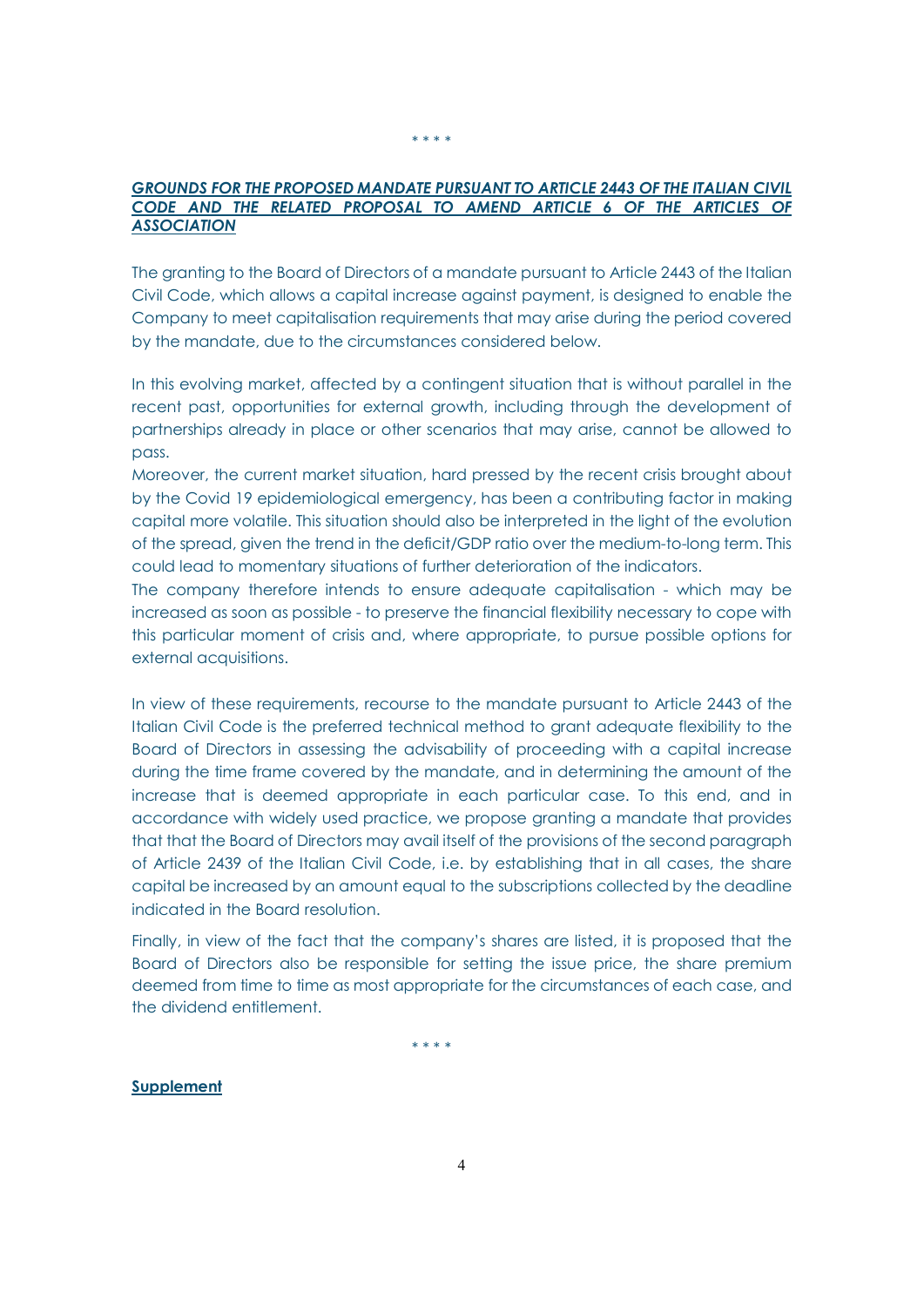## GROUNDS FOR THE PROPOSED MANDATE PURSUANT TO ARTICLE 2443 OF THE ITALIAN CIVIL CODE AND THE RELATED PROPOSAL TO AMEND ARTICLE 6 OF THE ARTICLES OF *ASSOCIATION*

The granting to the Board of Directors of a mandate pursuant to Article 2443 of the Italian Civil Code, which allows a capital increase against payment, is designed to enable the Company to meet capitalisation requirements that may arise during the period covered by the mandate, due to the circumstances considered below.

In this evolving market, affected by a contingent situation that is without parallel in the recent past, opportunities for external growth, including through the development of partnerships already in place or other scenarios that may arise, cannot be allowed to pass.

Moreover, the current market situation, hard pressed by the recent crisis brought about by the Covid 19 epidemiological emergency, has been a contributing factor in making capital more volatile. This situation should also be interpreted in the light of the evolution of the spread, given the trend in the deficit/GDP ratio over the medium-to-long term. This could lead to momentary situations of further deterioration of the indicators.

The company therefore intends to ensure adequate capitalisation - which may be increased as soon as possible - to preserve the financial flexibility necessary to cope with this particular moment of crisis and, where appropriate, to pursue possible options for external acquisitions.

In view of these requirements, recourse to the mandate pursuant to Article 2443 of the Italian Civil Code is the preferred technical method to grant adequate flexibility to the Board of Directors in assessing the advisability of proceeding with a capital increase during the time frame covered by the mandate, and in determining the amount of the increase that is deemed appropriate in each particular case. To this end, and in accordance with widely used practice, we propose granting a mandate that provides that that the Board of Directors may avail itself of the provisions of the second paragraph of Article 2439 of the Italian Civil Code, i.e. by establishing that in all cases, the share capital be increased by an amount equal to the subscriptions collected by the deadline indicated in the Board resolution.

Finally, in view of the fact that the company's shares are listed, it is proposed that the Board of Directors also be responsible for setting the issue price, the share premium deemed from time to time as most appropriate for the circumstances of each case, and the dividend entitlement.

4

\* \* \* \*

#### **Supplement**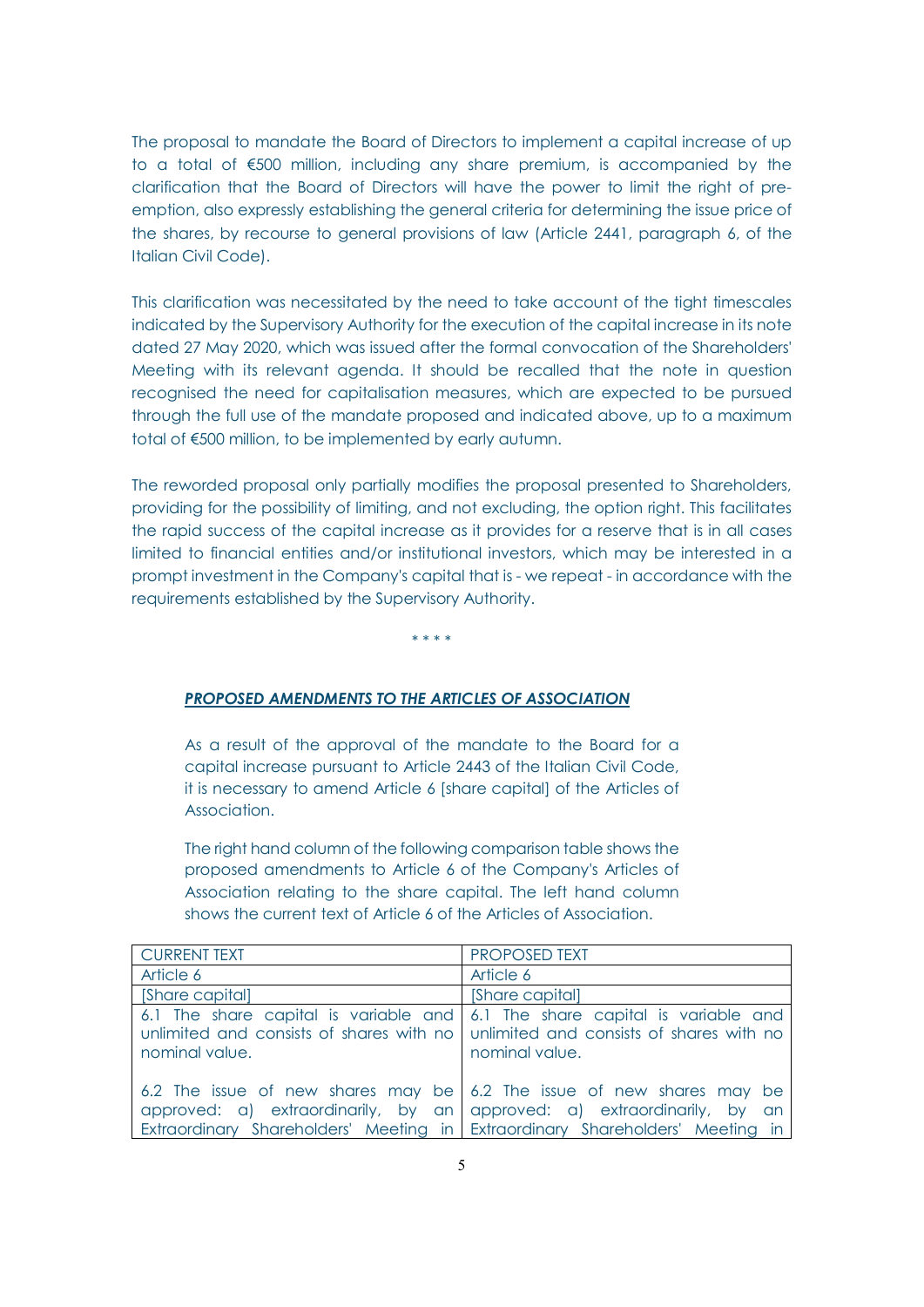The proposal to mandate the Board of Directors to implement a capital increase of up to a total of €500 million, including any share premium, is accompanied by the clarification that the Board of Directors will have the power to limit the right of preemption, also expressly establishing the general criteria for determining the issue price of the shares, by recourse to general provisions of law (Article 2441, paragraph 6, of the Italian Civil Code).

This clarification was necessitated by the need to take account of the tight timescales indicated by the Supervisory Authority for the execution of the capital increase in its note dated 27 May 2020, which was issued after the formal convocation of the Shareholders' Meeting with its relevant agenda. It should be recalled that the note in question recognised the need for capitalisation measures, which are expected to be pursued through the full use of the mandate proposed and indicated above, up to a maximum total of €500 million, to be implemented by early autumn.

The reworded proposal only partially modifies the proposal presented to Shareholders, providing for the possibility of limiting, and not excluding, the option right. This facilitates the rapid success of the capital increase as it provides for a reserve that is in all cases limited to financial entities and/or institutional investors, which may be interested in a prompt investment in the Company's capital that is - we repeat - in accordance with the requirements established by the Supervisory Authority.

\* \* \* \*

## *PROPOSED AMENDMENTS TO THE ARTICLES OF ASSOCIATION*

As a result of the approval of the mandate to the Board for a capital increase pursuant to Article 2443 of the Italian Civil Code, it is necessary to amend Article 6 [share capital] of the Articles of Association.

The right hand column of the following comparison table shows the proposed amendments to Article 6 of the Company's Articles of Association relating to the share capital. The left hand column shows the current text of Article 6 of the Articles of Association.

| <b>CURRENT TEXT</b>                                                                                                                                      | <b>PROPOSED TEXT</b>                                                                          |
|----------------------------------------------------------------------------------------------------------------------------------------------------------|-----------------------------------------------------------------------------------------------|
| Article 6                                                                                                                                                | Article 6                                                                                     |
| [Share capital]                                                                                                                                          | [Share capital]                                                                               |
| unlimited and consists of shares with no unlimited and consists of shares with no<br>nominal value.                                                      | 6.1 The share capital is variable and 6.1 The share capital is variable and<br>nominal value. |
| approved: a) extraordinarily, by an approved: a) extraordinarily, by an<br>Extraordinary Shareholders' Meeting in Extraordinary Shareholders' Meeting in | 6.2 The issue of new shares may be 6.2 The issue of new shares may be                         |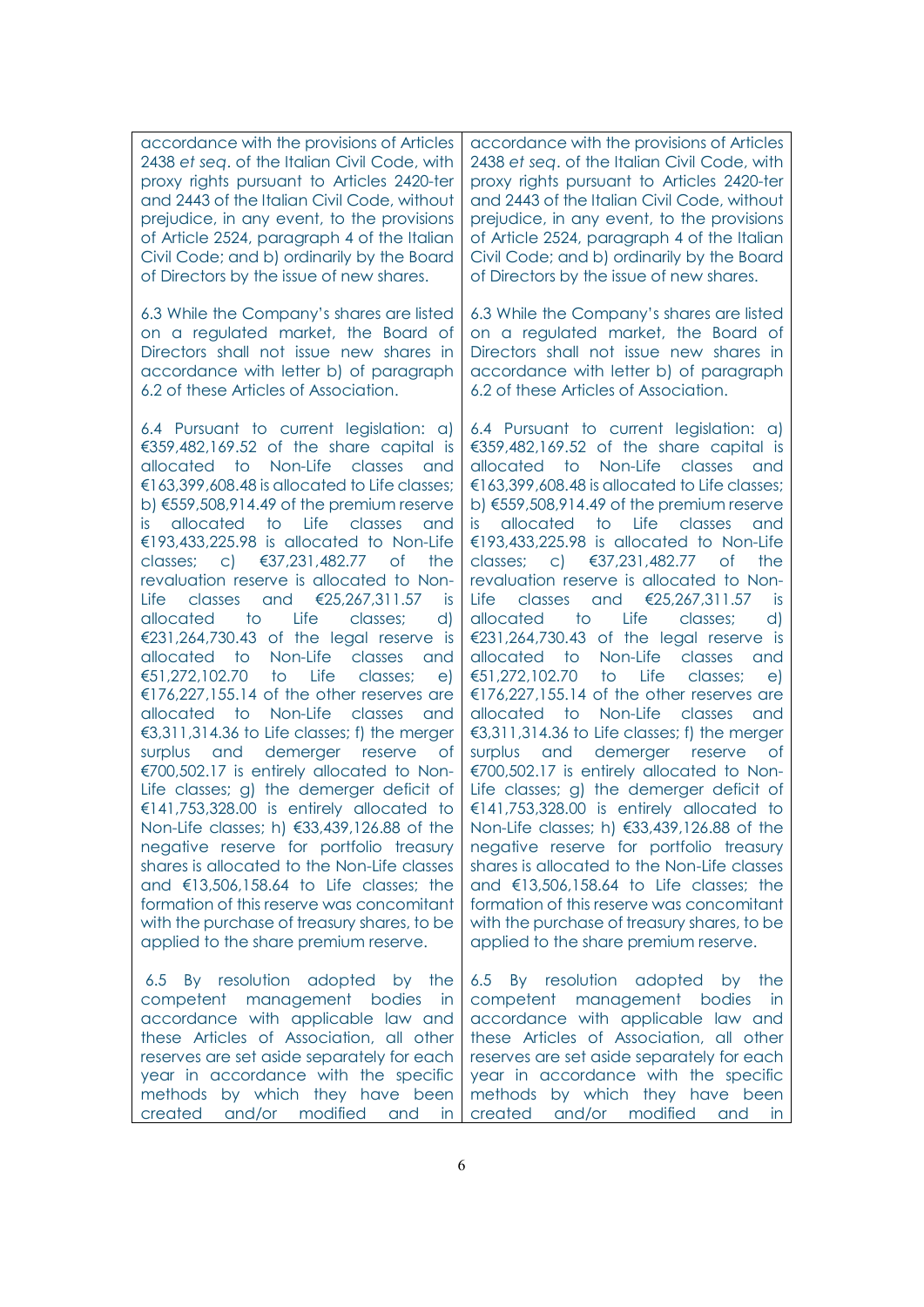accordance with the provisions of Articles 2438 *et seq*. of the Italian Civil Code, with proxy rights pursuant to Articles 2420-ter and 2443 of the Italian Civil Code, without prejudice, in any event, to the provisions of Article 2524, paragraph 4 of the Italian Civil Code; and b) ordinarily by the Board of Directors by the issue of new shares.

6.3 While the Company's shares are listed on a regulated market, the Board of Directors shall not issue new shares in accordance with letter b) of paragraph 6.2 of these Articles of Association.

6.4 Pursuant to current legislation: a) €359,482,169.52 of the share capital is allocated to Non-Life classes and €163,399,608.48 is allocated to Life classes; b) €559,508,914.49 of the premium reserve is allocated to Life classes and €193,433,225.98 is allocated to Non-Life classes; c) €37,231,482.77 of the revaluation reserve is allocated to Non-Life classes and €25,267,311.57 is allocated to Life classes; d) €231,264,730.43 of the legal reserve is allocated to Non-Life classes and €51,272,102.70 to Life classes; e) €176,227,155.14 of the other reserves are allocated to Non-Life classes and €3,311,314.36 to Life classes; f) the merger surplus and demerger reserve of €700,502.17 is entirely allocated to Non-Life classes; g) the demerger deficit of €141,753,328.00 is entirely allocated to Non-Life classes; h) €33,439,126.88 of the negative reserve for portfolio treasury shares is allocated to the Non-Life classes and  $€13,506,158.64$  to Life classes; the formation of this reserve was concomitant with the purchase of treasury shares, to be applied to the share premium reserve.

6.5 By resolution adopted by the competent management bodies in accordance with applicable law and these Articles of Association, all other reserves are set aside separately for each year in accordance with the specific methods by which they have been created and/or modified and in

accordance with the provisions of Articles 2438 *et seq*. of the Italian Civil Code, with proxy rights pursuant to Articles 2420-ter and 2443 of the Italian Civil Code, without prejudice, in any event, to the provisions of Article 2524, paragraph 4 of the Italian Civil Code; and b) ordinarily by the Board of Directors by the issue of new shares.

6.3 While the Company's shares are listed on a regulated market, the Board of Directors shall not issue new shares in accordance with letter b) of paragraph 6.2 of these Articles of Association.

6.4 Pursuant to current legislation: a) €359,482,169.52 of the share capital is allocated to Non-Life classes and €163,399,608.48 is allocated to Life classes; b) €559,508,914.49 of the premium reserve is allocated to Life classes and €193,433,225.98 is allocated to Non-Life classes; c) €37,231,482.77 of the revaluation reserve is allocated to Non-Life classes and €25,267,311.57 is allocated to Life classes; d) €231,264,730.43 of the legal reserve is allocated to Non-Life classes and €51,272,102.70 to Life classes; e) €176,227,155.14 of the other reserves are allocated to Non-Life classes and €3,311,314.36 to Life classes; f) the merger surplus and demerger reserve of €700,502.17 is entirely allocated to Non-Life classes; g) the demerger deficit of €141,753,328.00 is entirely allocated to Non-Life classes; h) €33,439,126.88 of the negative reserve for portfolio treasury shares is allocated to the Non-Life classes and  $$13.506.158.64$  to Life classes; the formation of this reserve was concomitant with the purchase of treasury shares, to be applied to the share premium reserve.

6.5 By resolution adopted by the competent management bodies in accordance with applicable law and these Articles of Association, all other reserves are set aside separately for each year in accordance with the specific methods by which they have been created and/or modified and in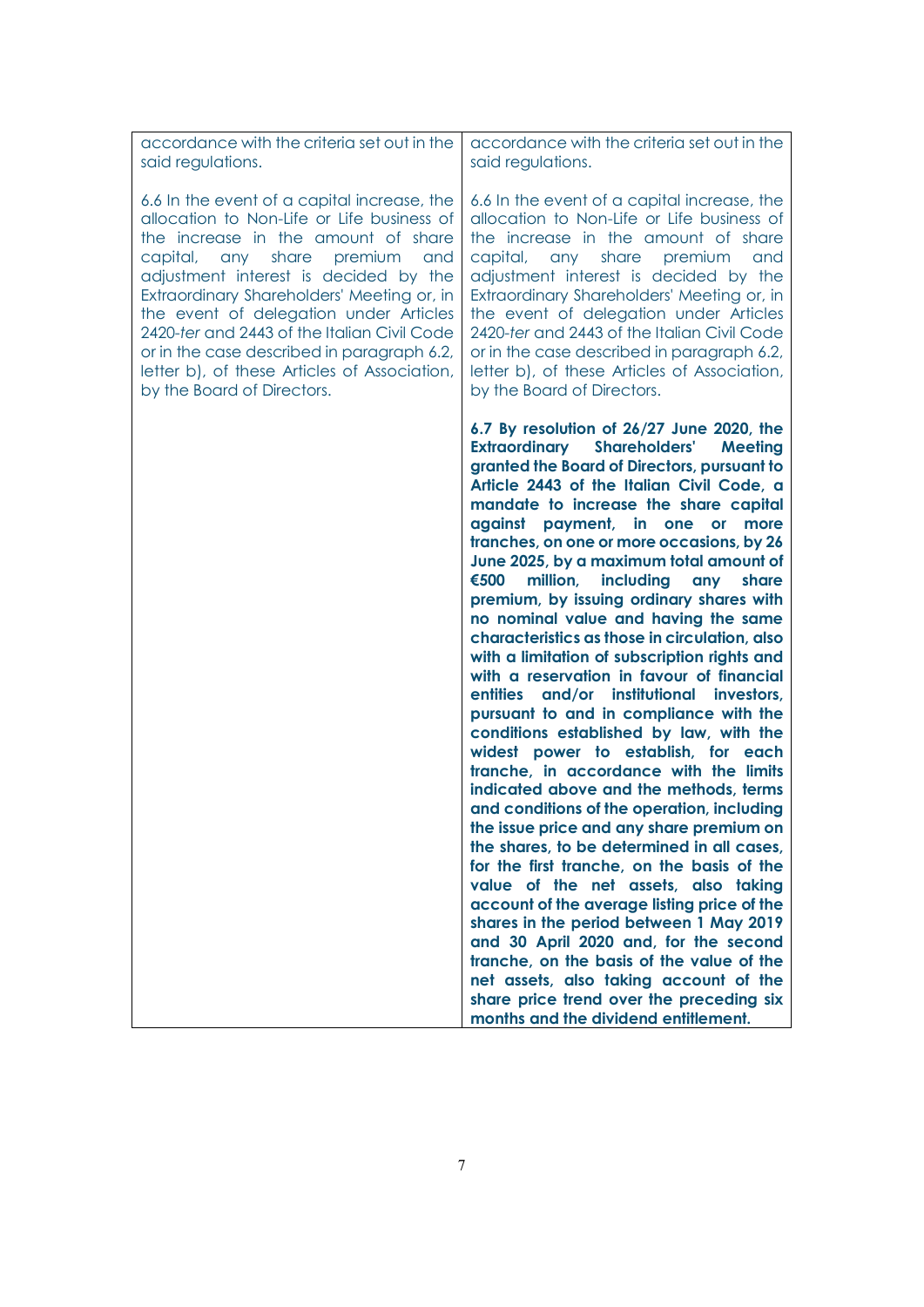accordance with the criteria set out in the said regulations.

6.6 In the event of a capital increase, the allocation to Non-Life or Life business of the increase in the amount of share capital, any share premium and adjustment interest is decided by the Extraordinary Shareholders' Meeting or, in the event of delegation under Articles 2420-*ter* and 2443 of the Italian Civil Code or in the case described in paragraph 6.2, letter b), of these Articles of Association, by the Board of Directors.

accordance with the criteria set out in the said regulations.

6.6 In the event of a capital increase, the allocation to Non-Life or Life business of the increase in the amount of share capital, any share premium and adjustment interest is decided by the Extraordinary Shareholders' Meeting or, in the event of delegation under Articles 2420-*ter* and 2443 of the Italian Civil Code or in the case described in paragraph 6.2, letter b), of these Articles of Association, by the Board of Directors.

**6.7 By resolution of 26/27 June 2020, the Extraordinary Shareholders' Meeting granted the Board of Directors, pursuant to Article 2443 of the Italian Civil Code, a mandate to increase the share capital against payment, in one or more tranches, on one or more occasions, by 26 June 2025, by a maximum total amount of €500 million, including any share premium, by issuing ordinary shares with no nominal value and having the same characteristics as those in circulation, also with a limitation of subscription rights and with a reservation in favour of financial entities and/or institutional investors, pursuant to and in compliance with the conditions established by law, with the widest power to establish, for each tranche, in accordance with the limits indicated above and the methods, terms and conditions of the operation, including the issue price and any share premium on the shares, to be determined in all cases, for the first tranche, on the basis of the value of the net assets, also taking account of the average listing price of the shares in the period between 1 May 2019 and 30 April 2020 and, for the second tranche, on the basis of the value of the net assets, also taking account of the share price trend over the preceding six months and the dividend entitlement.**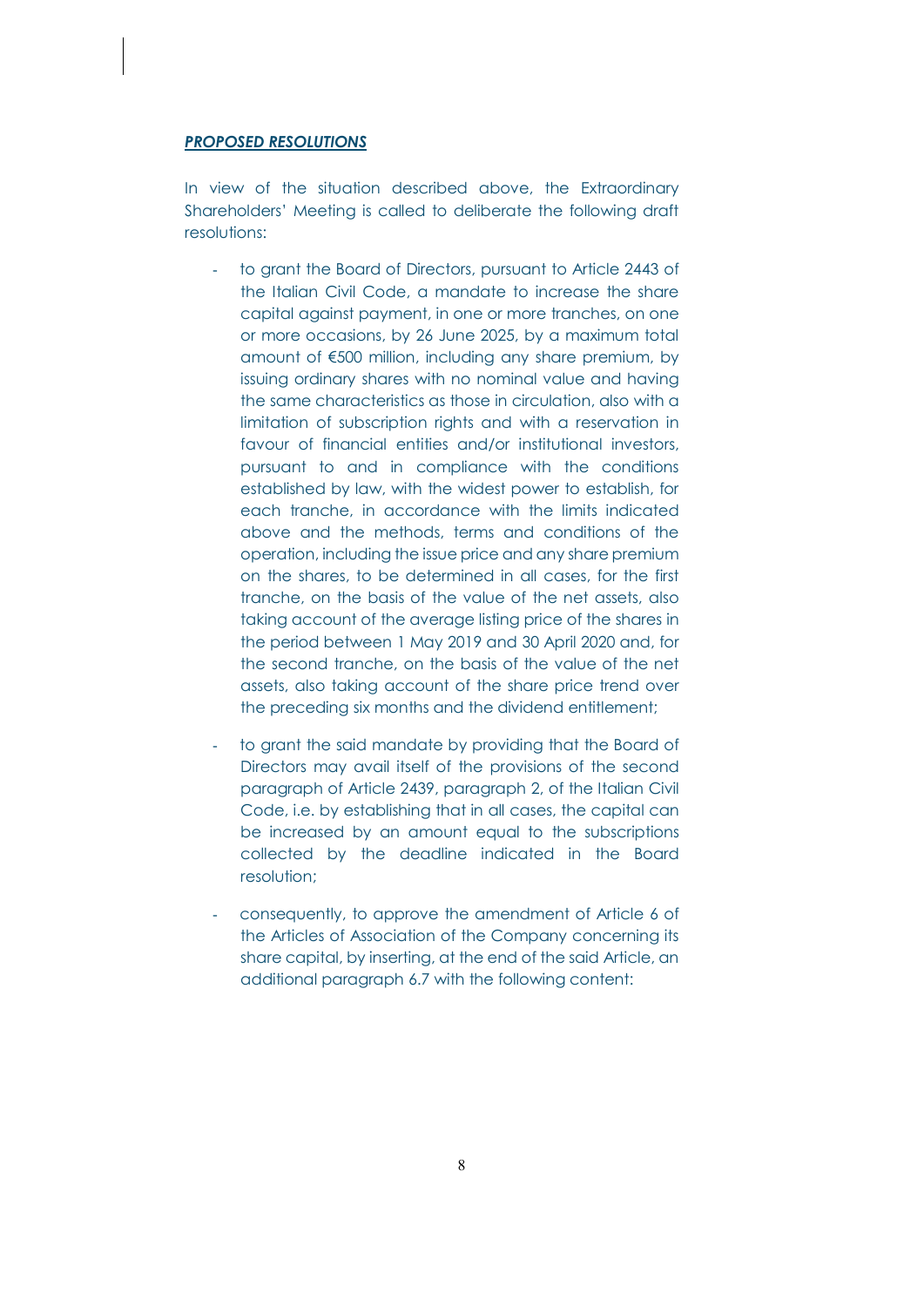## *PROPOSED RESOLUTIONS*

In view of the situation described above, the Extraordinary Shareholders' Meeting is called to deliberate the following draft resolutions:

- to grant the Board of Directors, pursuant to Article 2443 of the Italian Civil Code, a mandate to increase the share capital against payment, in one or more tranches, on one or more occasions, by 26 June 2025, by a maximum total amount of €500 million, including any share premium, by issuing ordinary shares with no nominal value and having the same characteristics as those in circulation, also with a limitation of subscription rights and with a reservation in favour of financial entities and/or institutional investors, pursuant to and in compliance with the conditions established by law, with the widest power to establish, for each tranche, in accordance with the limits indicated above and the methods, terms and conditions of the operation, including the issue price and any share premium on the shares, to be determined in all cases, for the first tranche, on the basis of the value of the net assets, also taking account of the average listing price of the shares in the period between 1 May 2019 and 30 April 2020 and, for the second tranche, on the basis of the value of the net assets, also taking account of the share price trend over the preceding six months and the dividend entitlement;
- to grant the said mandate by providing that the Board of Directors may avail itself of the provisions of the second paragraph of Article 2439, paragraph 2, of the Italian Civil Code, i.e. by establishing that in all cases, the capital can be increased by an amount equal to the subscriptions collected by the deadline indicated in the Board resolution;
- consequently, to approve the amendment of Article 6 of the Articles of Association of the Company concerning its share capital, by inserting, at the end of the said Article, an additional paragraph 6.7 with the following content: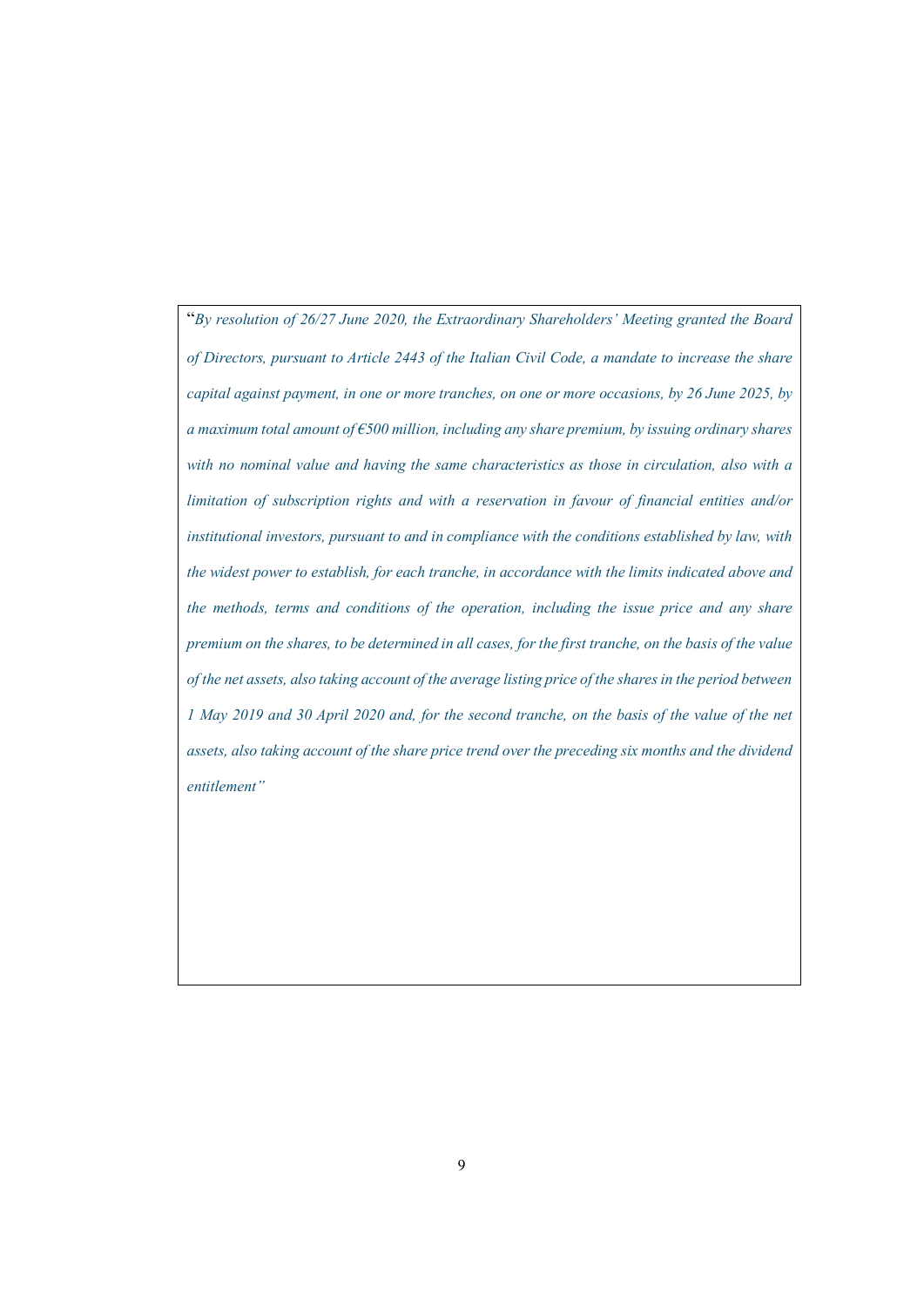"*By resolution of 26/27 June 2020, the Extraordinary Shareholders' Meeting granted the Board of Directors, pursuant to Article 2443 of the Italian Civil Code, a mandate to increase the share capital against payment, in one or more tranches, on one or more occasions, by 26 June 2025, by a maximum total amount of €500 million, including any share premium, by issuing ordinary shares with no nominal value and having the same characteristics as those in circulation, also with a limitation of subscription rights and with a reservation in favour of financial entities and/or institutional investors, pursuant to and in compliance with the conditions established by law, with the widest power to establish, for each tranche, in accordance with the limits indicated above and the methods, terms and conditions of the operation, including the issue price and any share premium on the shares, to be determined in all cases, for the first tranche, on the basis of the value of the net assets, also taking account of the average listing price of the shares in the period between 1 May 2019 and 30 April 2020 and, for the second tranche, on the basis of the value of the net assets, also taking account of the share price trend over the preceding six months and the dividend entitlement"*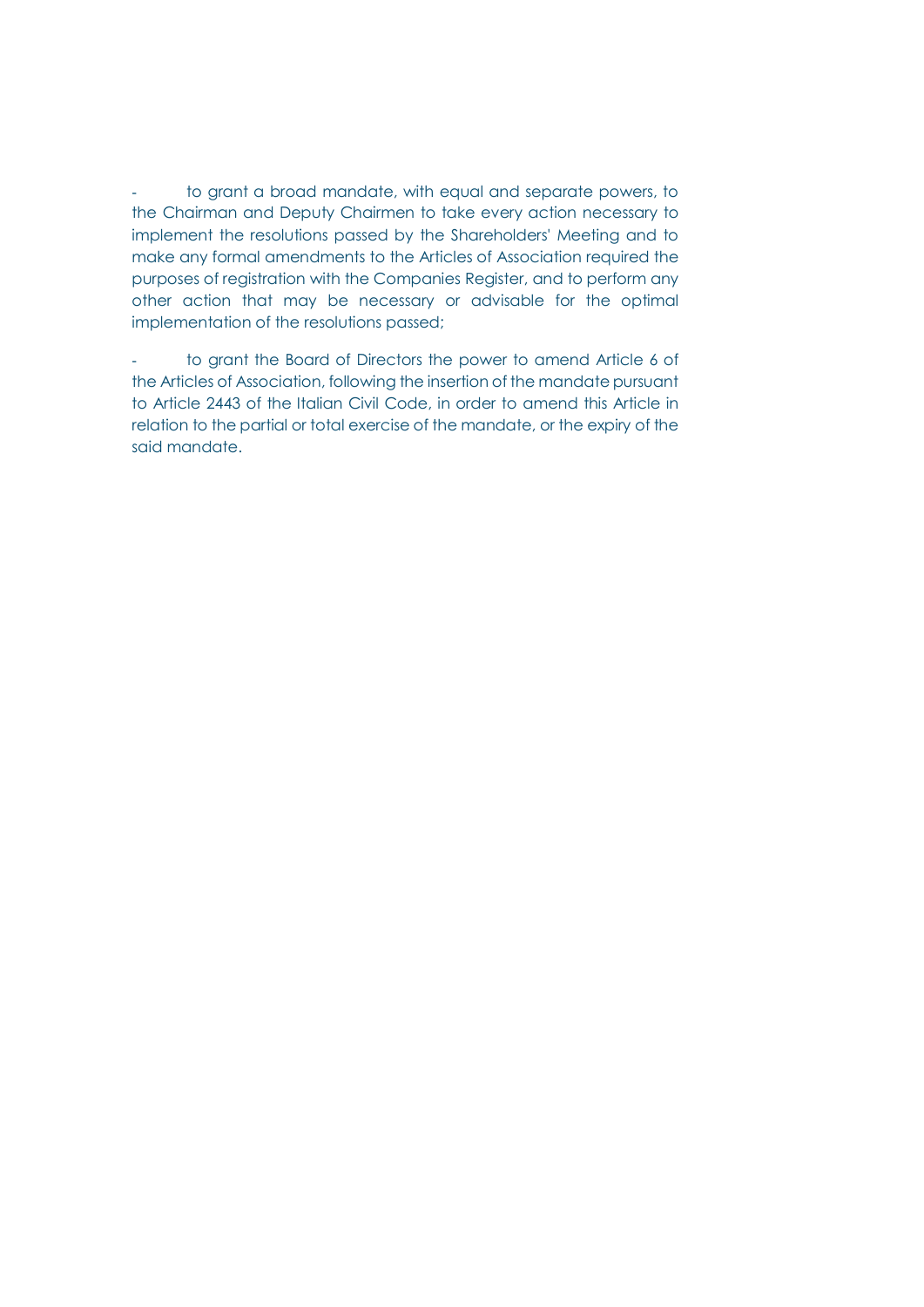to grant a broad mandate, with equal and separate powers, to the Chairman and Deputy Chairmen to take every action necessary to implement the resolutions passed by the Shareholders' Meeting and to make any formal amendments to the Articles of Association required the purposes of registration with the Companies Register, and to perform any other action that may be necessary or advisable for the optimal implementation of the resolutions passed;

to grant the Board of Directors the power to amend Article 6 of the Articles of Association, following the insertion of the mandate pursuant to Article 2443 of the Italian Civil Code, in order to amend this Article in relation to the partial or total exercise of the mandate, or the expiry of the said mandate.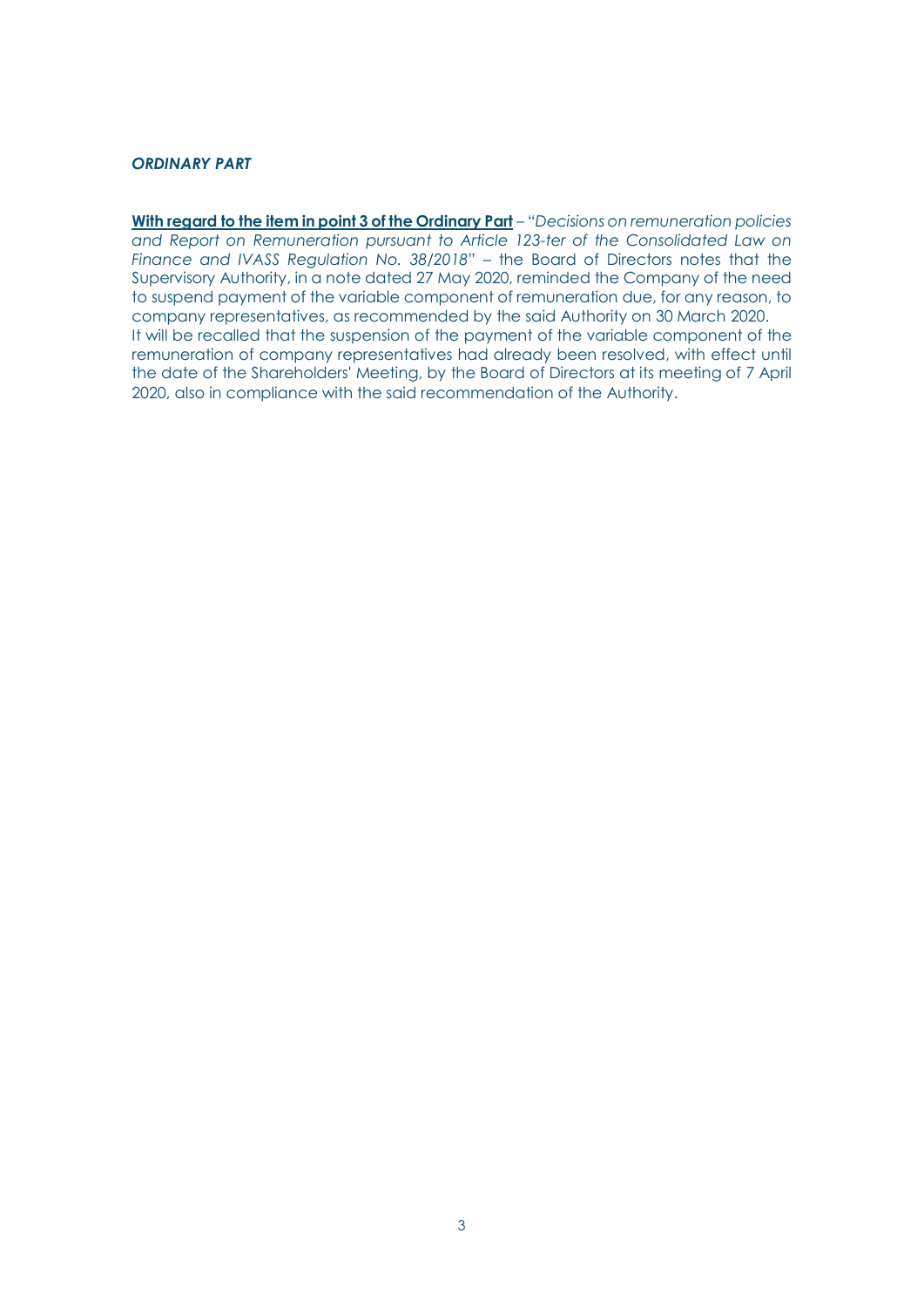# *ORDINARY PART*

**With regard to the item in point 3 of the Ordinary Part** – "*Decisions on remuneration policies and Report on Remuneration pursuant to Article 123-ter of the Consolidated Law on Finance and IVASS Regulation No. 38/2018*" – the Board of Directors notes that the Supervisory Authority, in a note dated 27 May 2020, reminded the Company of the need to suspend payment of the variable component of remuneration due, for any reason, to company representatives, as recommended by the said Authority on 30 March 2020. It will be recalled that the suspension of the payment of the variable component of the remuneration of company representatives had already been resolved, with effect until the date of the Shareholders' Meeting, by the Board of Directors at its meeting of 7 April 2020, also in compliance with the said recommendation of the Authority.